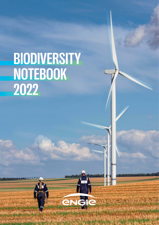# **BIODIVERSITY NOTEBOOK 2022**

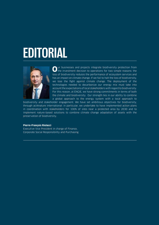# **EDITORIAL**



Our businesses and projects integrate biodiversity protection from<br>the investment decision to operations for two simple reasons: the loss of biodiversity reduces the performance of ecosystem services and has an impact on climate change. If we fail to halt the loss of biodiversity, we lose the fight against climate change. The deployment of the technologies needed to decarbonize our energy mix must take into account the expectations of local stakeholders with regard to biodiversity. For this reason, at ENGIE, we have strong commitments in terms of both the climate and biodiversity. Our strength lies in our ability to combine a global approach to the energy system with a local approach to

biodiversity and stakeholder engagement. We have set ambitious objectives for biodiversity, through act4nature international: in particular, we undertake to have implemented action plans in coordination with stakeholders for 100% of sites near a protected area by 2030 and to implement nature-based solutions to combine climate change adaptation of assets with the preservation of biodiversity.

# **Pierre-François Riolacci**

Executive Vice President in charge of Finance, Corporate Social Responsibility and Purchasing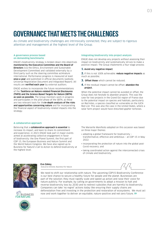# **GOVERNANCE THAT MEETS THE CHALLENGES**

As climate and biodiversity challenges are intrinsically connected, they are subject to rigorous attention and management at the highest level of the Group.

# **A governance process based on demanding benchmarks**

ENGIE's biodiversity strategy is broken down into objectives monitored by the Executive Committee and the Board of **Directors** (via the Ethics, Environment and Sustainable Development Committee) and validated externally by a third party such as the steering committee act4nature international. Performance progress is measured at least once a vear and published in official documents (website, Universal Registration Document and Integrated Report). All results are verified each year by external auditors.

ENGIE wishes to incorporate the future recommendations of the Taskforce on Nature-related Financial Disclosures (TNFD) and the Science Based Targets for Nature (SBTN) as soon as possible. The Group monitors work in progress and participates in the pilot phase of the SBTN, as these are two relevant tools for thein-depth analysis of the risks and opportunities concerning nature and for incorporating the financial aspect of biodiversity-related impacts into the strategy.

## **A collaborative approach**

Believing that a collaborative approach is essential to increase its impact, and keen to share its commitment and experience, in 2021 ENGIE took part in major events aimed at accelerating collective engagement in favor of biodiversity: the One Planet Summit, the first part of COP 15, the European Business and Nature Summit and the World Nature Congress. We have also signed up to Business for Nature's Call to Action to defend biodiversity at the highest level.

### **Integrating biodiversity into project analysis**

ENGIE does not develop any projects without assessing their impact on biodiversity and systematically strives to make a positive impact. The Group implements a four-stage process:

# **1.** Avoid any negative impact;

**2.** If this is not 100% achievable: reduce negative impacts as much as possible;

- **3. Offset those** which cannot be reduced:
- **4.** If the residual impact cannot be offset: abandon the project.

When the potential impact cannot be avoided or offset, the Group does not hesitate to abandon projects. This was the case for two projects in the Grand Est region of France due to the potential impact on species and habitats, particularly on Red kites, a species classified as vulnerable on the IUCN Red List. This was also the case in the United States, where a solar farm project would have disturbed gopher tortoises.

The Marseille Manifesto adopted on this occasion was based on three major themes:

- adopting a global framework for biodiversity transformative, effective and ambitious – at COP 15 in May 2022;
- incorporating the protection of nature into the global post-Covid recovery; and
- taking coordinated action against the interconnected crises of climate and biodiversity.



**USINESS** 

Eva Zabey,

Executive Director, Business For Nature



We need to shift our relationship with nature. The upcoming COP15 Biodiversity Conference is our best chance to secure a healthy future for people and the planet. Businesses are part of the solution; they must rapidly scale and speed up action and raise their voice for nature publicly. For example, by calling on governments to adopt a mission to halt and reverse biodiversity loss by 2030 and to redirect subsidies that are harmful to biodiversity. Companies can take 'no regret' actions today like ensuring their supply chains are deforestation free and investing in the protection and restoration of ecosystems. We must act now and work together to deliver an equitable, nature-positive and net-zero future.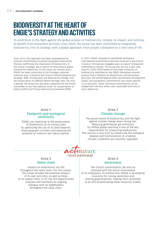# **BIODIVERSITY AT THE HEART OF ENGIE'S STRATEGY AND ACTIVITIES**

To contribute to the fight against the global erosion of biodiversity, remedy its impact, and continue to benefit from ecosystem services, since 2010, the Group has been committed to integrating biodiversity into its strategy with a global approach: from project conception to a site's end of life.

Since 2012, this approach has been accompanied by external commitments to preserving global biodiversity, thereby reaffirming the importance of biodiversity in the Group's strategy and its desire to help achieve global biodiversity objectives. On this basis, for several years ENGIE has been committed to the Stratégie nationale française pour la biodiversité (French National Biodiversity Strategy, SNB), the Business and Biodiversity Pledge, and the preservation of UNESCO World Heritage sites. For over a decade, the Group has also been supported by the French Committee of the International Union for Conservation of Nature (IUCN) and France Nature Environnement (FNE).

In 2021, ENGIE renewed its worldwide act4nature international commitments and was involved in the French initiative "Entreprises engagées pour la nature" (Companies committed to nature). The Group also set out a new road map for 2020–2030 based on the major pressures on biodiversity identified by the IPBES (Intergovernmental Science-Policy Platform on Biodiversity and Ecosystem Services), the United Nations SDGs (Sustainable Development Goals), joint act4nature commitments and issues specific to its activities. These individual commitments can be categorized into four areas, each associated with one or more objectives:

# Area 1 **Footprint and ecological continuity**

ENGIE can contribute to the preservation of biodiversity at its various sites by optimizing the use of its land footprint restoring green corridors and reducing the presence of invasive non-native species.

# Area 2

# **Climate change**

The preservation of biodiversity and the fight against climate change share strong ties. Reducing greenhouse gas emissions to combat global warming is one of the key requirements for preserving biodiversity. The reverse is also true: by preserving the ecological balance and functionalities of a habitat, climatic conditions are naturally regulated.

# ature international

# Area 3 **Value chain**

Impacts on biodiversity are felt throughout the value chain. For this reason, the Group includes the potential impacts of its own activities, as well as those of its supply chain, in its risk and opportunities analyses and maintains an ongoing dialogue with its stakeholders throughout the value chain.

# Area 4

# **Awareness**

The Group's commitments can only be achieved with the active involvement of its employees. To achieve this, ENGIE is developing resources for raising awareness and sharing good practices, making them accessible to all and disseminating these resources widely.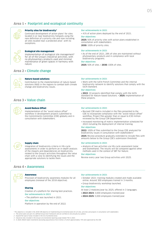# Area 1 • **Footprint and ecological continuity**



# Priority sites for biodiversity\*

Continued development of action plans<sup>1</sup> for sites located in or near biodiversity hotspots using the new definition of a priority site and now including all sites located near a protected area<sup>2</sup>, with no exceptions.



### Ecological site management

Implementation of ecological site management<sup>3</sup> for all of the Group's industrial activities, with no phytosanitary products used and minimal maintenance of green spaces in harmony with nature.

# **Our achievements in 2021**

• 41% of action plans deployed by the end of 2021.

#### **Our objectives**

2025: 50% of priority sites with action plans established in consultation with stakeholders. 2030: 100% of priority sites.

#### **Our achievements in 2021**

• As of the end of 2021, 28% of sites are maintained without phytosanitary products and in compliance with local biodiversity programs.

• Work with the IUCN French Committee and the internal

• 2022: 10 projects identified that comply with the IUCN Standard for Nature-based Solutions. • 2025: implementation of

biodiversity network to identify solutions that comply with the

### **Our objectives**

2025: 50% of sites. • 2030: 100% of sites.

# Area 2 • **Climate change**



#### Nature-based solutions

Contribution to the implementation of nature-based solutions (NbS) in the regions to combat both climate change and biodiversity issues.

# Area 3 • **Value chain**



# Avoid Reduce Offset

Implementation of the "avoid reduce offset" workflow in development projects submitted to the Commitments Committee (CDE) globally and in consultation with stakeholders.

Integration of biodiversity criteria in life-cycle assessments in order to perform an in-depth analysis of the impacts and dependencies on biodiversity related to the Group's activities throughout the value chain with a view to identifying the issues and the

appropriate solutions to tackle them.

# **Our achievements in 2021**

**Our achievements in 2021**

IUCN Standard. **Our objectives**

these projects.

- Revised CSR matrix included in the files presented to the CDE to incorporate compliance with the "avoid reduce offset" workflow. Project files greater than or equal to €30 million reviewed by the Group CSR Department.
- Increased monitoring of matrix implementation scheduled for 2022 including the deployment of internal training.

#### **Our objectives**

2022: 100% of files submitted to the Group CDE analyzed for biodiversity issues in consultation with stakeholders<sup>4</sup> 2025: Review procedure gradually extended to include files with amounts below to the Group CDE's submission threshold.

#### **Our achievements in 2021**

• Analysis of two activities via life-cycle assessment (solar and biomethane). The results will be compared against other methods used in the context of SBT for Nature.

#### **Our objectives**

Review every year two Group activities until 2025.

Supply chain



# Awareness

Area 4 • **Awareness**

Provision of biodiversity awareness modules for all employees (renewal of the 2018 objective).

#### Sharing

Creation of a platform for sharing best practices. **Our achievements in 2021**

• The platform was launched in 2021.

#### **Our objectives**

Platform in operation by the end of 2022.

#### **Our achievements in 2021**

- October 2021: training modules created and made available online. Around 300 employees trained in 3 months.
- Group biodiversity workshop launched.

# **Our objectives**

At least 2 modules/year by 2025, offered in 3 languages.

- 2022-2023: 3,000 employees trained/year.
- 2024-2025: 5,000 employees trained/year.
- \* This objective is included in the 2030 CSR objective of implementing environmental plans for all sites, activities and projects in consultation with stakeholders
- 1 The action plans are part of a defined Group-level framework and are verified on site annually by auditors.
- 2 Expand the type of areas included in the list of protected areas. 3 - Industrial sites included in the Group's environmental reporting scope totaled 792 in 2021.

4 - In 2020, ENGIE made investments (excluding acquisitions) of €2.3 billion, of which approximately 73% were approved by the CDE.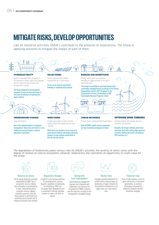# **MITIGATE RISKS, DEVELOP OPPORTUNITIES**

Like all industrial activities, ENGIE's contribute to the pressure on biodiversity. The Group is applying solutions to mitigate the impact of each of them.



Due to the implementation of ecological management, these sites are home to a rich biodiversity and participate in natural population movements

turbines disturb their habitat and can cause collisions

Wind farms are located in such a way as to avoid natural habitats and employ detection systems to stop turbines should birds or bats fly into the vicinity

Most of ENGIE's public service easements are now functioning ecological corridors

limitations and pollutants

Recently, the Group's offshore wind farms have been built with cutting-edge measures to protect biodiversity (aerial surveillance, GPS tracking, etc.)

The degradation of biodiversity poses various risks for ENGIE's activities, the severity of which varies with the degree of reliance on natural ecosystems. However, biodiversity also represents an opportunity to create value for the Group.



#### **Reliance on nature**

All the energy production processes implemented by ENGIE rely on ecosystemic services, making them vulnerable to any disturbance to these. Understanding which ecosystem services underpin production processes helps the Group improve its performance by preventing natural hazards and by making its processes more resilient.



**Regulatory changes** In addition to the existing conditions for operating permits and due diligence, regulations on biodiversity are intensifying. ENGIE has anticipated these developments and is committed to offering innovative solutions to reduce and offset its **impacts** 

# **Dialog with local stakeholders**

Good biodiversity management improves local integration with stakeholders and increases the acceptability of ENGIE's activities over the long term, including for the development of renewable energy.



## **Market risks**

Changing consumer preferences for products with a reduced impact on biodiversity, or buyers' demands for the protection of biodiversity in the supply chain, can create market risks.



#### **Financial risks**

These include insurance, access to capital and the loss of investment opportunities, as investors increasingly incorporate the biodiversity footprint into their investment strategies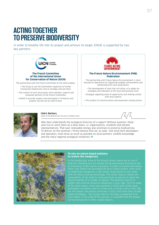# **ACTING TOGETHER TO PRESERVE BIODIVERSITY**

In order to breathe life into its project and achieve its target, ENGIE is supported by two key partners:



The partnership with the French Committee of the IUCN enables: • The Group to use the Committee's expertise to further

- incorporate biodiversity into its strategy and activities; • The conduct of joint discussions with members, experts and
- corporate partners of the French Committee;

• ENGIE to provide support and participate in initiatives and projects carried out by IUCN France.



# **The France Nature Environnement (FNE) Federation**

The partnership with France Nature Environnement is more focused on operations by supporting tangible achievements and networking with local associations.

- The development of tools that will allow us to adapt our strategies and indicators at the local and business level;
- Dialogue regarding areas of opportunity and making contact with local experts;
- The conduct of communication and awareness-raising actions.



# Cédric Barbary,

Head of the Biodiversity Division at ENGIE Green

Who best understands the ecological diversity of a region? Without question: those who live or work there on a daily basis, i.e. organizations, residents and elected representatives. That said, renewable energy also promises to preserve biodiversity. To deliver on this promise, I firmly believe that we, as solar- and wind-farm developers and operators, must draw as much as possible on local partners' wildlife knowledge and the many regional ecological initiatives. **77** 



# **To rely on nature-based solutions to restore the mangroves**

long-term flooding and are already facing operational disruptions due to exhaustion of the marine ecosystem. In order to prevent and reduce these risks, ENGIE has developed the Blue Carbon project, which aims to rehabilitate mangroves in Abu Dhabi using drones to sow seeds with the help of airdrop technology. This action helps to reduce the carbon that could be stored by mangroves is very high. The first stage of this pilot project, which was launched in 2020 with 2,000 seeds seeds airdropped – the success rate for this drop is projected to be will be reproduced in other coastal regions.